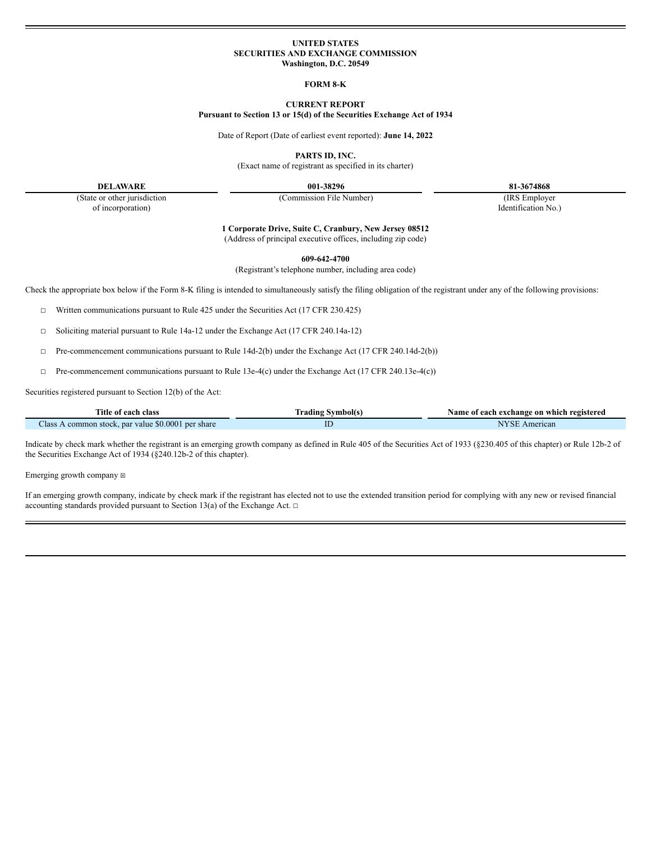### **UNITED STATES SECURITIES AND EXCHANGE COMMISSION Washington, D.C. 20549**

**FORM 8-K**

# **CURRENT REPORT**

**Pursuant to Section 13 or 15(d) of the Securities Exchange Act of 1934**

Date of Report (Date of earliest event reported): **June 14, 2022**

**PARTS ID, INC.**

(Exact name of registrant as specified in its charter)

**DELAWARE 001-38296 81-3674868**

of incorporation) Identification No.)

(State or other jurisdiction (Commission File Number) (IRS Employer

**1 Corporate Drive, Suite C, Cranbury, New Jersey 08512**

(Address of principal executive offices, including zip code)

**609-642-4700**

(Registrant's telephone number, including area code)

Check the appropriate box below if the Form 8-K filing is intended to simultaneously satisfy the filing obligation of the registrant under any of the following provisions:

☐ Written communications pursuant to Rule 425 under the Securities Act (17 CFR 230.425)

☐ Soliciting material pursuant to Rule 14a-12 under the Exchange Act (17 CFR 240.14a-12)

☐ Pre-commencement communications pursuant to Rule 14d-2(b) under the Exchange Act (17 CFR 240.14d-2(b))

☐ Pre-commencement communications pursuant to Rule 13e-4(c) under the Exchange Act (17 CFR 240.13e-4(c))

Securities registered pursuant to Section 12(b) of the Act:

| Title of each class                                                | <b>Symbol</b> (s<br>rading | Name of each exchange on which registered |  |
|--------------------------------------------------------------------|----------------------------|-------------------------------------------|--|
| Class A<br>. par value $$0.0001$<br>l per share<br>A common stock. | ID                         | American<br>-SF<br>M                      |  |

Indicate by check mark whether the registrant is an emerging growth company as defined in Rule 405 of the Securities Act of 1933 (§230.405 of this chapter) or Rule 12b-2 of the Securities Exchange Act of 1934 (§240.12b-2 of this chapter).

Emerging growth company  $\boxtimes$ 

If an emerging growth company, indicate by check mark if the registrant has elected not to use the extended transition period for complying with any new or revised financial accounting standards provided pursuant to Section 13(a) of the Exchange Act.  $□$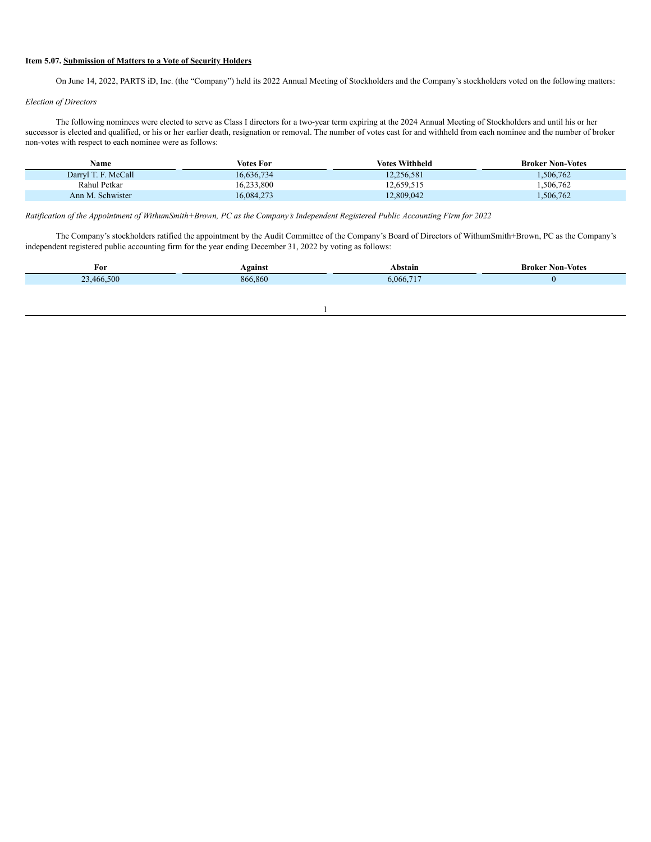### **Item 5.07. Submission of Matters to a Vote of Security Holders**

On June 14, 2022, PARTS iD, Inc. (the "Company") held its 2022 Annual Meeting of Stockholders and the Company's stockholders voted on the following matters:

## *Election of Directors*

The following nominees were elected to serve as Class I directors for a two-year term expiring at the 2024 Annual Meeting of Stockholders and until his or her successor is elected and qualified, or his or her earlier death, resignation or removal. The number of votes cast for and withheld from each nominee and the number of broker non-votes with respect to each nominee were as follows:

| Name                | Votes For  | <b>Votes Withheld</b> | <b>Broker Non-Votes</b> |
|---------------------|------------|-----------------------|-------------------------|
| Darryl T. F. McCall | 16,636,734 | 12.256.581            | ,506,762                |
| Rahul Petkar        | 16.233.800 | 12,659,515            | .506,762                |
| Ann M. Schwister    | 16,084,273 | 12,809,042            | .506,762                |

Ratification of the Appointment of WithumSmith+Brown, PC as the Company's Independent Registered Public Accounting Firm for 2022

The Company's stockholders ratified the appointment by the Audit Committee of the Company's Board of Directors of WithumSmith+Brown, PC as the Company's independent registered public accounting firm for the year ending December 31, 2022 by voting as follows:

| <b>Seainst</b> | Abstain   | <b>Broker Non-Votes</b> |
|----------------|-----------|-------------------------|
| 866,860        | 6,066,717 |                         |
|                |           |                         |
|                |           |                         |

1